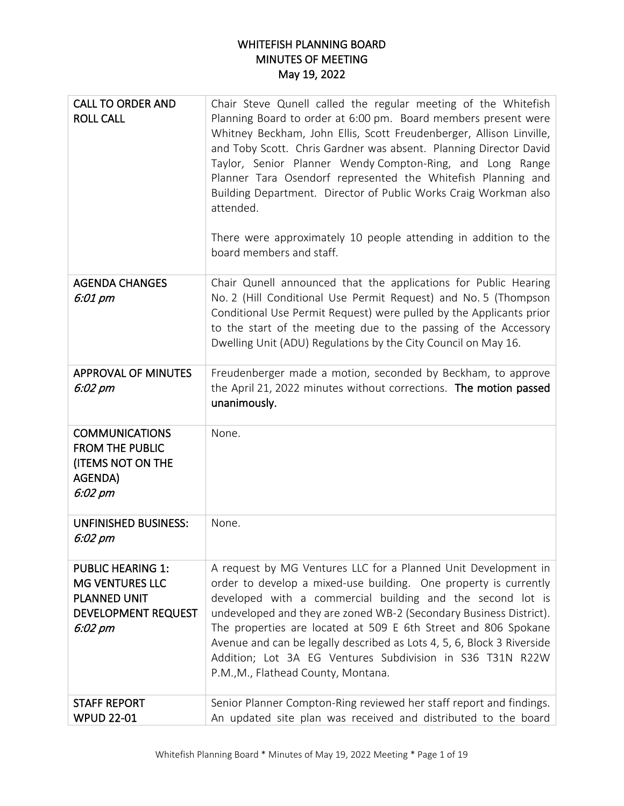## WHITEFISH PLANNING BOARD MINUTES OF MEETING May 19, 2022

| <b>CALL TO ORDER AND</b><br><b>ROLL CALL</b>                                                                | Chair Steve Qunell called the regular meeting of the Whitefish<br>Planning Board to order at 6:00 pm. Board members present were<br>Whitney Beckham, John Ellis, Scott Freudenberger, Allison Linville,<br>and Toby Scott. Chris Gardner was absent. Planning Director David<br>Taylor, Senior Planner Wendy Compton-Ring, and Long Range<br>Planner Tara Osendorf represented the Whitefish Planning and<br>Building Department. Director of Public Works Craig Workman also<br>attended.<br>There were approximately 10 people attending in addition to the<br>board members and staff. |
|-------------------------------------------------------------------------------------------------------------|-------------------------------------------------------------------------------------------------------------------------------------------------------------------------------------------------------------------------------------------------------------------------------------------------------------------------------------------------------------------------------------------------------------------------------------------------------------------------------------------------------------------------------------------------------------------------------------------|
| <b>AGENDA CHANGES</b><br>6:01 pm                                                                            | Chair Qunell announced that the applications for Public Hearing<br>No. 2 (Hill Conditional Use Permit Request) and No. 5 (Thompson<br>Conditional Use Permit Request) were pulled by the Applicants prior<br>to the start of the meeting due to the passing of the Accessory<br>Dwelling Unit (ADU) Regulations by the City Council on May 16.                                                                                                                                                                                                                                            |
| <b>APPROVAL OF MINUTES</b><br>6:02 pm                                                                       | Freudenberger made a motion, seconded by Beckham, to approve<br>the April 21, 2022 minutes without corrections. The motion passed<br>unanimously.                                                                                                                                                                                                                                                                                                                                                                                                                                         |
| <b>COMMUNICATIONS</b><br><b>FROM THE PUBLIC</b><br>(ITEMS NOT ON THE<br>AGENDA)<br>$6:02~\rho m$            | None.                                                                                                                                                                                                                                                                                                                                                                                                                                                                                                                                                                                     |
| <b>UNFINISHED BUSINESS:</b><br>6:02 pm                                                                      | None.                                                                                                                                                                                                                                                                                                                                                                                                                                                                                                                                                                                     |
| <b>PUBLIC HEARING 1:</b><br><b>MG VENTURES LLC</b><br>PLANNED UNIT<br><b>DEVELOPMENT REQUEST</b><br>6:02 pm | A request by MG Ventures LLC for a Planned Unit Development in<br>order to develop a mixed-use building. One property is currently<br>developed with a commercial building and the second lot is<br>undeveloped and they are zoned WB-2 (Secondary Business District).<br>The properties are located at 509 E 6th Street and 806 Spokane<br>Avenue and can be legally described as Lots 4, 5, 6, Block 3 Riverside<br>Addition; Lot 3A EG Ventures Subdivision in S36 T31N R22W<br>P.M., M., Flathead County, Montana.                                                                    |
| <b>STAFF REPORT</b><br><b>WPUD 22-01</b>                                                                    | Senior Planner Compton-Ring reviewed her staff report and findings.<br>An updated site plan was received and distributed to the board                                                                                                                                                                                                                                                                                                                                                                                                                                                     |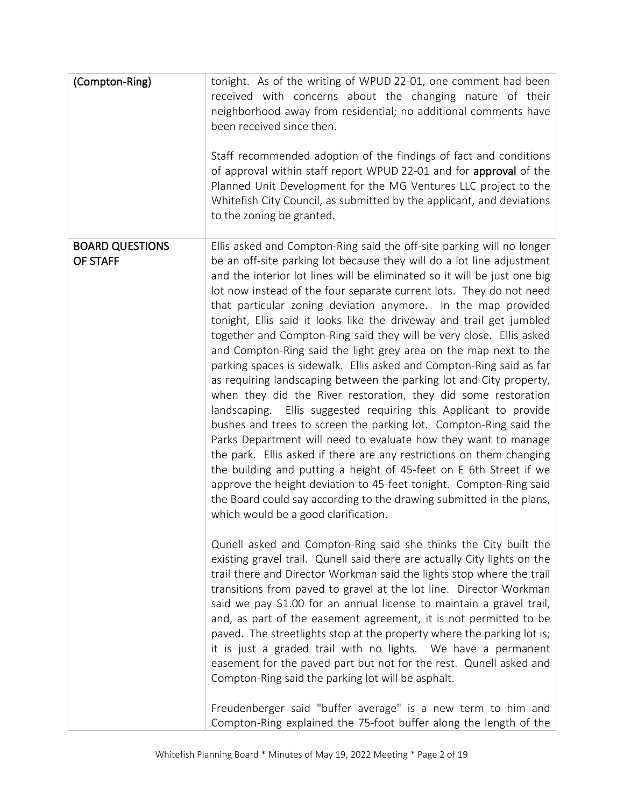| (Compton-Ring)                     | tonight. As of the writing of WPUD 22-01, one comment had been<br>received with concerns about the changing nature of their<br>neighborhood away from residential; no additional comments have<br>been received since then.<br>Staff recommended adoption of the findings of fact and conditions<br>of approval within staff report WPUD 22-01 and for approval of the<br>Planned Unit Development for the MG Ventures LLC project to the<br>Whitefish City Council, as submitted by the applicant, and deviations<br>to the zoning be granted.                                                                                                                                                                                                                                                                                                                                                                                                                                                                                                                                                                                                                                                                                                                                                                                                                                                                                                                                                                                                                                                                                                                                                                                                                                                                                                                                                                                                                                                                                                                                                                                          |
|------------------------------------|------------------------------------------------------------------------------------------------------------------------------------------------------------------------------------------------------------------------------------------------------------------------------------------------------------------------------------------------------------------------------------------------------------------------------------------------------------------------------------------------------------------------------------------------------------------------------------------------------------------------------------------------------------------------------------------------------------------------------------------------------------------------------------------------------------------------------------------------------------------------------------------------------------------------------------------------------------------------------------------------------------------------------------------------------------------------------------------------------------------------------------------------------------------------------------------------------------------------------------------------------------------------------------------------------------------------------------------------------------------------------------------------------------------------------------------------------------------------------------------------------------------------------------------------------------------------------------------------------------------------------------------------------------------------------------------------------------------------------------------------------------------------------------------------------------------------------------------------------------------------------------------------------------------------------------------------------------------------------------------------------------------------------------------------------------------------------------------------------------------------------------------|
| <b>BOARD QUESTIONS</b><br>OF STAFF | Ellis asked and Compton-Ring said the off-site parking will no longer<br>be an off-site parking lot because they will do a lot line adjustment<br>and the interior lot lines will be eliminated so it will be just one big<br>lot now instead of the four separate current lots. They do not need<br>that particular zoning deviation anymore. In the map provided<br>tonight, Ellis said it looks like the driveway and trail get jumbled<br>together and Compton-Ring said they will be very close. Ellis asked<br>and Compton-Ring said the light grey area on the map next to the<br>parking spaces is sidewalk. Ellis asked and Compton-Ring said as far<br>as requiring landscaping between the parking lot and City property,<br>when they did the River restoration, they did some restoration<br>landscaping. Ellis suggested requiring this Applicant to provide<br>bushes and trees to screen the parking lot. Compton-Ring said the<br>Parks Department will need to evaluate how they want to manage<br>the park. Ellis asked if there are any restrictions on them changing<br>the building and putting a height of 45-feet on E 6th Street if we<br>approve the height deviation to 45-feet tonight. Compton-Ring said<br>the Board could say according to the drawing submitted in the plans,<br>which would be a good clarification.<br>Qunell asked and Compton-Ring said she thinks the City built the<br>existing gravel trail. Qunell said there are actually City lights on the<br>trail there and Director Workman said the lights stop where the trail<br>transitions from paved to gravel at the lot line. Director Workman<br>said we pay \$1.00 for an annual license to maintain a gravel trail,<br>and, as part of the easement agreement, it is not permitted to be<br>paved. The streetlights stop at the property where the parking lot is;<br>it is just a graded trail with no lights. We have a permanent<br>easement for the paved part but not for the rest. Qunell asked and<br>Compton-Ring said the parking lot will be asphalt.<br>Freudenberger said "buffer average" is a new term to him and |
|                                    | Compton-Ring explained the 75-foot buffer along the length of the                                                                                                                                                                                                                                                                                                                                                                                                                                                                                                                                                                                                                                                                                                                                                                                                                                                                                                                                                                                                                                                                                                                                                                                                                                                                                                                                                                                                                                                                                                                                                                                                                                                                                                                                                                                                                                                                                                                                                                                                                                                                        |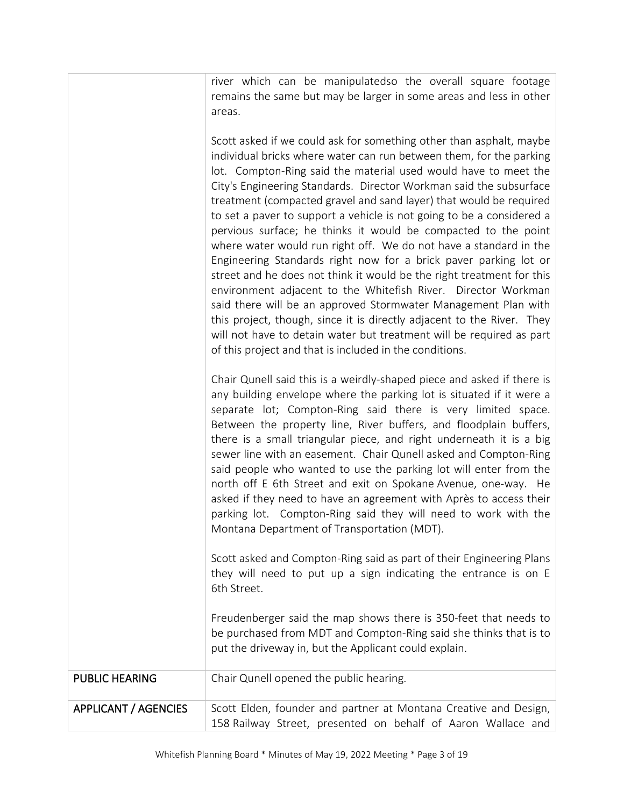river which can be manipulatedso the overall square footage remains the same but may be larger in some areas and less in other areas.

Scott asked if we could ask for something other than asphalt, maybe individual bricks where water can run between them, for the parking lot. Compton-Ring said the material used would have to meet the City's Engineering Standards. Director Workman said the subsurface treatment (compacted gravel and sand layer) that would be required to set a paver to support a vehicle is not going to be a considered a pervious surface; he thinks it would be compacted to the point where water would run right off. We do not have a standard in the Engineering Standards right now for a brick paver parking lot or street and he does not think it would be the right treatment for this environment adjacent to the Whitefish River. Director Workman said there will be an approved Stormwater Management Plan with this project, though, since it is directly adjacent to the River. They will not have to detain water but treatment will be required as part of this project and that is included in the conditions.

Chair Qunell said this is a weirdly-shaped piece and asked if there is any building envelope where the parking lot is situated if it were a separate lot; Compton-Ring said there is very limited space. Between the property line, River buffers, and floodplain buffers, there is a small triangular piece, and right underneath it is a big sewer line with an easement. Chair Qunell asked and Compton-Ring said people who wanted to use the parking lot will enter from the north off E 6th Street and exit on Spokane Avenue, one-way. He asked if they need to have an agreement with Après to access their parking lot. Compton-Ring said they will need to work with the Montana Department of Transportation (MDT).

Scott asked and Compton-Ring said as part of their Engineering Plans they will need to put up a sign indicating the entrance is on E 6th Street.

Freudenberger said the map shows there is 350-feet that needs to be purchased from MDT and Compton-Ring said she thinks that is to put the driveway in, but the Applicant could explain.

| <b>PUBLIC HEARING</b>       | Chair Qunell opened the public hearing.                                                                                          |
|-----------------------------|----------------------------------------------------------------------------------------------------------------------------------|
| <b>APPLICANT / AGENCIES</b> | Scott Elden, founder and partner at Montana Creative and Design,<br>158 Railway Street, presented on behalf of Aaron Wallace and |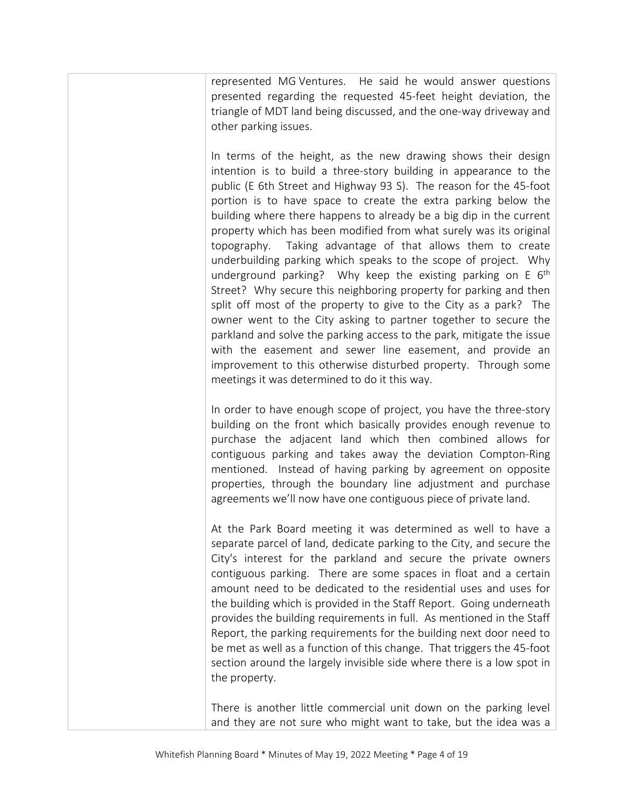represented MG Ventures. He said he would answer questions presented regarding the requested 45-feet height deviation, the triangle of MDT land being discussed, and the one-way driveway and other parking issues.

In terms of the height, as the new drawing shows their design intention is to build a three-story building in appearance to the public (E 6th Street and Highway 93 S). The reason for the 45-foot portion is to have space to create the extra parking below the building where there happens to already be a big dip in the current property which has been modified from what surely was its original topography. Taking advantage of that allows them to create underbuilding parking which speaks to the scope of project. Why underground parking? Why keep the existing parking on  $E_0$  6<sup>th</sup> Street? Why secure this neighboring property for parking and then split off most of the property to give to the City as a park? The owner went to the City asking to partner together to secure the parkland and solve the parking access to the park, mitigate the issue with the easement and sewer line easement, and provide an improvement to this otherwise disturbed property. Through some meetings it was determined to do it this way.

In order to have enough scope of project, you have the three-story building on the front which basically provides enough revenue to purchase the adjacent land which then combined allows for contiguous parking and takes away the deviation Compton-Ring mentioned. Instead of having parking by agreement on opposite properties, through the boundary line adjustment and purchase agreements we'll now have one contiguous piece of private land.

At the Park Board meeting it was determined as well to have a separate parcel of land, dedicate parking to the City, and secure the City's interest for the parkland and secure the private owners contiguous parking. There are some spaces in float and a certain amount need to be dedicated to the residential uses and uses for the building which is provided in the Staff Report. Going underneath provides the building requirements in full. As mentioned in the Staff Report, the parking requirements for the building next door need to be met as well as a function of this change. That triggers the 45-foot section around the largely invisible side where there is a low spot in the property.

There is another little commercial unit down on the parking level and they are not sure who might want to take, but the idea was a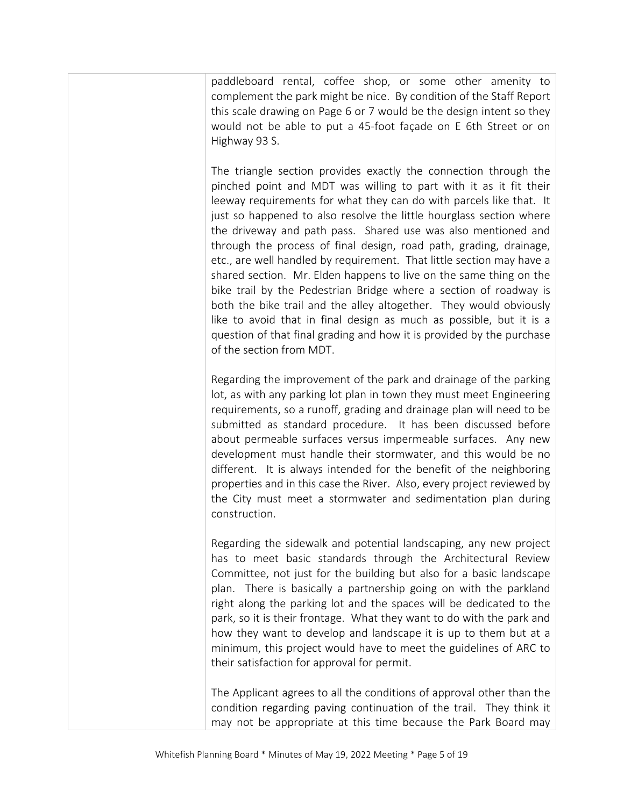paddleboard rental, coffee shop, or some other amenity to complement the park might be nice. By condition of the Staff Report this scale drawing on Page 6 or 7 would be the design intent so they would not be able to put a 45-foot façade on E 6th Street or on Highway 93 S.

The triangle section provides exactly the connection through the pinched point and MDT was willing to part with it as it fit their leeway requirements for what they can do with parcels like that. It just so happened to also resolve the little hourglass section where the driveway and path pass. Shared use was also mentioned and through the process of final design, road path, grading, drainage, etc., are well handled by requirement. That little section may have a shared section. Mr. Elden happens to live on the same thing on the bike trail by the Pedestrian Bridge where a section of roadway is both the bike trail and the alley altogether. They would obviously like to avoid that in final design as much as possible, but it is a question of that final grading and how it is provided by the purchase of the section from MDT.

Regarding the improvement of the park and drainage of the parking lot, as with any parking lot plan in town they must meet Engineering requirements, so a runoff, grading and drainage plan will need to be submitted as standard procedure. It has been discussed before about permeable surfaces versus impermeable surfaces. Any new development must handle their stormwater, and this would be no different. It is always intended for the benefit of the neighboring properties and in this case the River. Also, every project reviewed by the City must meet a stormwater and sedimentation plan during construction.

Regarding the sidewalk and potential landscaping, any new project has to meet basic standards through the Architectural Review Committee, not just for the building but also for a basic landscape plan. There is basically a partnership going on with the parkland right along the parking lot and the spaces will be dedicated to the park, so it is their frontage. What they want to do with the park and how they want to develop and landscape it is up to them but at a minimum, this project would have to meet the guidelines of ARC to their satisfaction for approval for permit.

The Applicant agrees to all the conditions of approval other than the condition regarding paving continuation of the trail. They think it may not be appropriate at this time because the Park Board may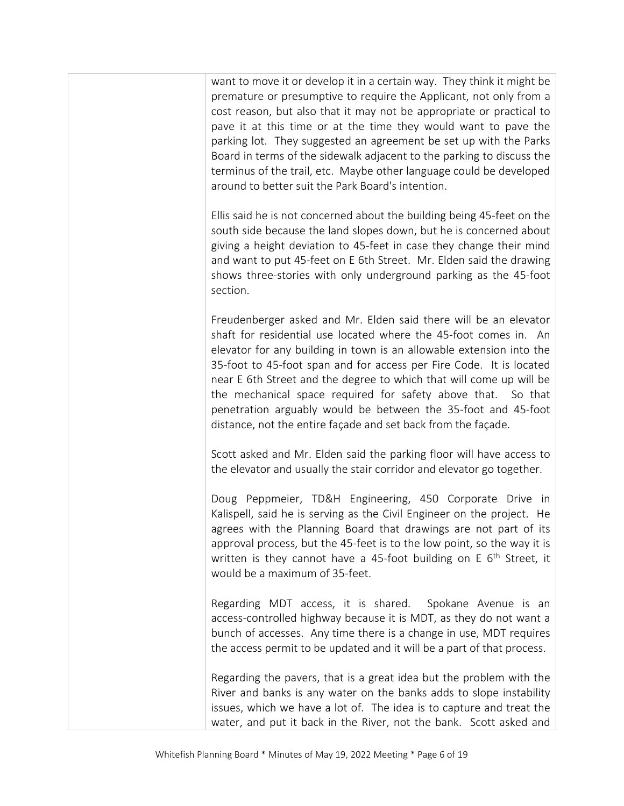want to move it or develop it in a certain way. They think it might be premature or presumptive to require the Applicant, not only from a cost reason, but also that it may not be appropriate or practical to pave it at this time or at the time they would want to pave the parking lot. They suggested an agreement be set up with the Parks Board in terms of the sidewalk adjacent to the parking to discuss the terminus of the trail, etc. Maybe other language could be developed around to better suit the Park Board's intention.

Ellis said he is not concerned about the building being 45-feet on the south side because the land slopes down, but he is concerned about giving a height deviation to 45-feet in case they change their mind and want to put 45-feet on E 6th Street. Mr. Elden said the drawing shows three-stories with only underground parking as the 45-foot section.

Freudenberger asked and Mr. Elden said there will be an elevator shaft for residential use located where the 45-foot comes in. An elevator for any building in town is an allowable extension into the 35-foot to 45-foot span and for access per Fire Code. It is located near E 6th Street and the degree to which that will come up will be the mechanical space required for safety above that. So that penetration arguably would be between the 35-foot and 45-foot distance, not the entire façade and set back from the façade.

Scott asked and Mr. Elden said the parking floor will have access to the elevator and usually the stair corridor and elevator go together.

Doug Peppmeier, TD&H Engineering, 450 Corporate Drive in Kalispell, said he is serving as the Civil Engineer on the project. He agrees with the Planning Board that drawings are not part of its approval process, but the 45-feet is to the low point, so the way it is written is they cannot have a 45-foot building on  $E$  6<sup>th</sup> Street, it would be a maximum of 35-feet.

Regarding MDT access, it is shared. Spokane Avenue is an access-controlled highway because it is MDT, as they do not want a bunch of accesses. Any time there is a change in use, MDT requires the access permit to be updated and it will be a part of that process.

Regarding the pavers, that is a great idea but the problem with the River and banks is any water on the banks adds to slope instability issues, which we have a lot of. The idea is to capture and treat the water, and put it back in the River, not the bank. Scott asked and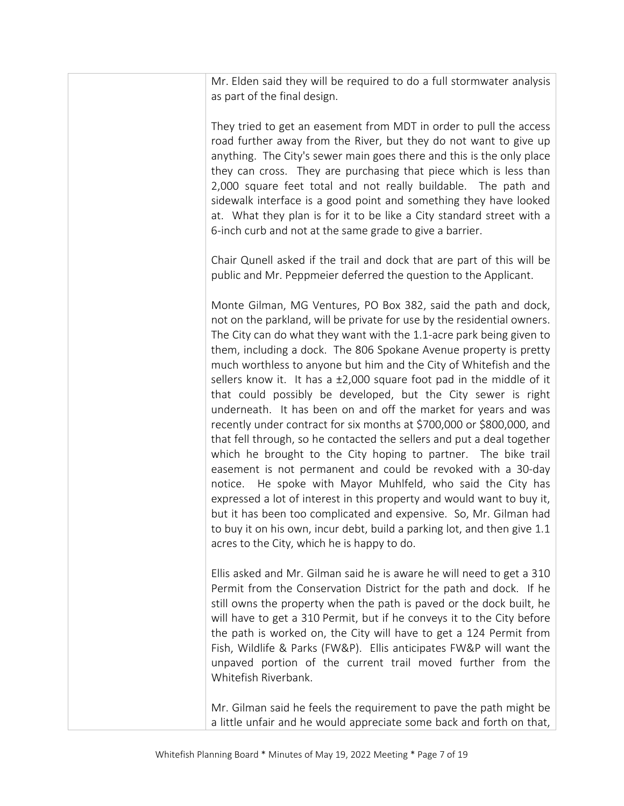Mr. Elden said they will be required to do a full stormwater analysis as part of the final design.

They tried to get an easement from MDT in order to pull the access road further away from the River, but they do not want to give up anything. The City's sewer main goes there and this is the only place they can cross. They are purchasing that piece which is less than 2,000 square feet total and not really buildable. The path and sidewalk interface is a good point and something they have looked at. What they plan is for it to be like a City standard street with a 6-inch curb and not at the same grade to give a barrier.

Chair Qunell asked if the trail and dock that are part of this will be public and Mr. Peppmeier deferred the question to the Applicant.

Monte Gilman, MG Ventures, PO Box 382, said the path and dock, not on the parkland, will be private for use by the residential owners. The City can do what they want with the 1.1-acre park being given to them, including a dock. The 806 Spokane Avenue property is pretty much worthless to anyone but him and the City of Whitefish and the sellers know it. It has a ±2,000 square foot pad in the middle of it that could possibly be developed, but the City sewer is right underneath. It has been on and off the market for years and was recently under contract for six months at \$700,000 or \$800,000, and that fell through, so he contacted the sellers and put a deal together which he brought to the City hoping to partner. The bike trail easement is not permanent and could be revoked with a 30-day notice. He spoke with Mayor Muhlfeld, who said the City has expressed a lot of interest in this property and would want to buy it, but it has been too complicated and expensive. So, Mr. Gilman had to buy it on his own, incur debt, build a parking lot, and then give 1.1 acres to the City, which he is happy to do.

Ellis asked and Mr. Gilman said he is aware he will need to get a 310 Permit from the Conservation District for the path and dock. If he still owns the property when the path is paved or the dock built, he will have to get a 310 Permit, but if he conveys it to the City before the path is worked on, the City will have to get a 124 Permit from Fish, Wildlife & Parks (FW&P). Ellis anticipates FW&P will want the unpaved portion of the current trail moved further from the Whitefish Riverbank.

Mr. Gilman said he feels the requirement to pave the path might be a little unfair and he would appreciate some back and forth on that,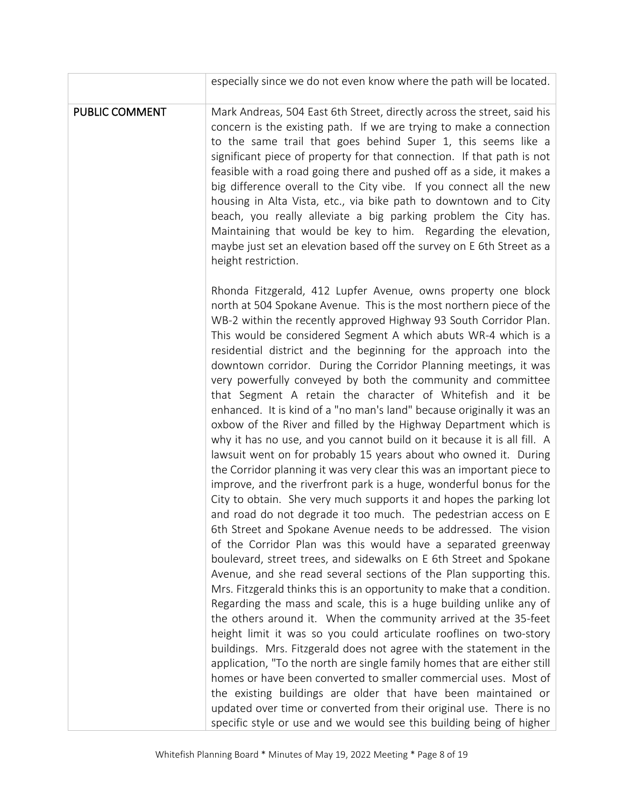|                | especially since we do not even know where the path will be located.                                                                                                                                                                                                                                                                                                                                                                                                                                                                                                                                                                                                                                                                                                                                                                                                                                                                                                                                                                                                                                                                                                                                                                                                                                                                                                                                                                                                                                                                                                                                                                                                                                                                                                                                                                                                                                                                                                                                                                                                                                                                                        |
|----------------|-------------------------------------------------------------------------------------------------------------------------------------------------------------------------------------------------------------------------------------------------------------------------------------------------------------------------------------------------------------------------------------------------------------------------------------------------------------------------------------------------------------------------------------------------------------------------------------------------------------------------------------------------------------------------------------------------------------------------------------------------------------------------------------------------------------------------------------------------------------------------------------------------------------------------------------------------------------------------------------------------------------------------------------------------------------------------------------------------------------------------------------------------------------------------------------------------------------------------------------------------------------------------------------------------------------------------------------------------------------------------------------------------------------------------------------------------------------------------------------------------------------------------------------------------------------------------------------------------------------------------------------------------------------------------------------------------------------------------------------------------------------------------------------------------------------------------------------------------------------------------------------------------------------------------------------------------------------------------------------------------------------------------------------------------------------------------------------------------------------------------------------------------------------|
| PUBLIC COMMENT | Mark Andreas, 504 East 6th Street, directly across the street, said his<br>concern is the existing path. If we are trying to make a connection<br>to the same trail that goes behind Super 1, this seems like a<br>significant piece of property for that connection. If that path is not<br>feasible with a road going there and pushed off as a side, it makes a<br>big difference overall to the City vibe. If you connect all the new<br>housing in Alta Vista, etc., via bike path to downtown and to City<br>beach, you really alleviate a big parking problem the City has.<br>Maintaining that would be key to him. Regarding the elevation,<br>maybe just set an elevation based off the survey on E 6th Street as a<br>height restriction.                                                                                                                                                                                                                                                                                                                                                                                                                                                                                                                                                                                                                                                                                                                                                                                                                                                                                                                                                                                                                                                                                                                                                                                                                                                                                                                                                                                                        |
|                | Rhonda Fitzgerald, 412 Lupfer Avenue, owns property one block<br>north at 504 Spokane Avenue. This is the most northern piece of the<br>WB-2 within the recently approved Highway 93 South Corridor Plan.<br>This would be considered Segment A which abuts WR-4 which is a<br>residential district and the beginning for the approach into the<br>downtown corridor. During the Corridor Planning meetings, it was<br>very powerfully conveyed by both the community and committee<br>that Segment A retain the character of Whitefish and it be<br>enhanced. It is kind of a "no man's land" because originally it was an<br>oxbow of the River and filled by the Highway Department which is<br>why it has no use, and you cannot build on it because it is all fill. A<br>lawsuit went on for probably 15 years about who owned it. During<br>the Corridor planning it was very clear this was an important piece to<br>improve, and the riverfront park is a huge, wonderful bonus for the<br>City to obtain. She very much supports it and hopes the parking lot<br>and road do not degrade it too much. The pedestrian access on E<br>6th Street and Spokane Avenue needs to be addressed. The vision<br>of the Corridor Plan was this would have a separated greenway<br>boulevard, street trees, and sidewalks on E 6th Street and Spokane<br>Avenue, and she read several sections of the Plan supporting this.<br>Mrs. Fitzgerald thinks this is an opportunity to make that a condition.<br>Regarding the mass and scale, this is a huge building unlike any of<br>the others around it. When the community arrived at the 35-feet<br>height limit it was so you could articulate rooflines on two-story<br>buildings. Mrs. Fitzgerald does not agree with the statement in the<br>application, "To the north are single family homes that are either still<br>homes or have been converted to smaller commercial uses. Most of<br>the existing buildings are older that have been maintained or<br>updated over time or converted from their original use. There is no<br>specific style or use and we would see this building being of higher |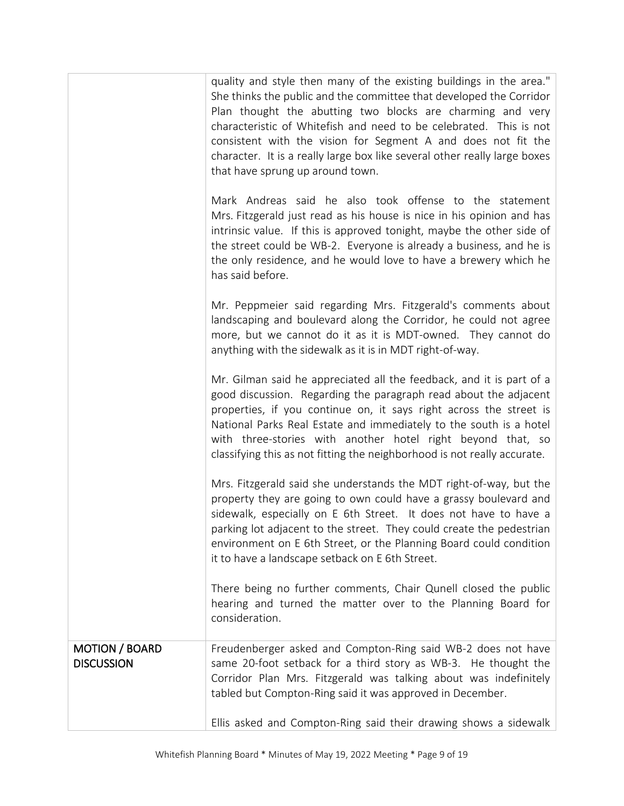|                                            | quality and style then many of the existing buildings in the area."<br>She thinks the public and the committee that developed the Corridor<br>Plan thought the abutting two blocks are charming and very<br>characteristic of Whitefish and need to be celebrated. This is not<br>consistent with the vision for Segment A and does not fit the<br>character. It is a really large box like several other really large boxes<br>that have sprung up around town. |
|--------------------------------------------|------------------------------------------------------------------------------------------------------------------------------------------------------------------------------------------------------------------------------------------------------------------------------------------------------------------------------------------------------------------------------------------------------------------------------------------------------------------|
|                                            | Mark Andreas said he also took offense to the statement<br>Mrs. Fitzgerald just read as his house is nice in his opinion and has<br>intrinsic value. If this is approved tonight, maybe the other side of<br>the street could be WB-2. Everyone is already a business, and he is<br>the only residence, and he would love to have a brewery which he<br>has said before.                                                                                         |
|                                            | Mr. Peppmeier said regarding Mrs. Fitzgerald's comments about<br>landscaping and boulevard along the Corridor, he could not agree<br>more, but we cannot do it as it is MDT-owned. They cannot do<br>anything with the sidewalk as it is in MDT right-of-way.                                                                                                                                                                                                    |
|                                            | Mr. Gilman said he appreciated all the feedback, and it is part of a<br>good discussion. Regarding the paragraph read about the adjacent<br>properties, if you continue on, it says right across the street is<br>National Parks Real Estate and immediately to the south is a hotel<br>with three-stories with another hotel right beyond that, so<br>classifying this as not fitting the neighborhood is not really accurate.                                  |
|                                            | Mrs. Fitzgerald said she understands the MDT right-of-way, but the<br>property they are going to own could have a grassy boulevard and<br>sidewalk, especially on E 6th Street. It does not have to have a<br>parking lot adjacent to the street. They could create the pedestrian<br>environment on E 6th Street, or the Planning Board could condition<br>it to have a landscape setback on E 6th Street.                                                      |
|                                            | There being no further comments, Chair Qunell closed the public<br>hearing and turned the matter over to the Planning Board for<br>consideration.                                                                                                                                                                                                                                                                                                                |
| <b>MOTION / BOARD</b><br><b>DISCUSSION</b> | Freudenberger asked and Compton-Ring said WB-2 does not have<br>same 20-foot setback for a third story as WB-3. He thought the<br>Corridor Plan Mrs. Fitzgerald was talking about was indefinitely<br>tabled but Compton-Ring said it was approved in December.                                                                                                                                                                                                  |
|                                            | Ellis asked and Compton-Ring said their drawing shows a sidewalk                                                                                                                                                                                                                                                                                                                                                                                                 |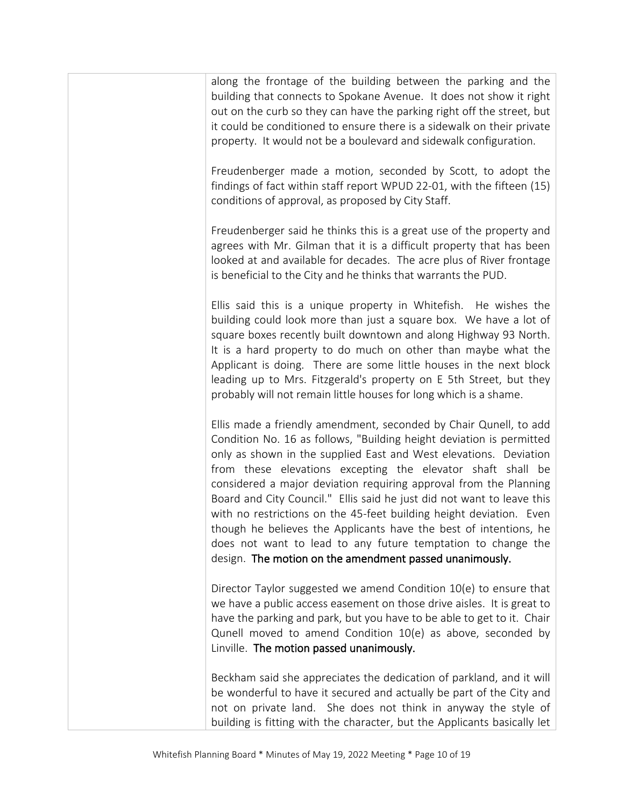along the frontage of the building between the parking and the building that connects to Spokane Avenue. It does not show it right out on the curb so they can have the parking right off the street, but it could be conditioned to ensure there is a sidewalk on their private property. It would not be a boulevard and sidewalk configuration.

Freudenberger made a motion, seconded by Scott, to adopt the findings of fact within staff report WPUD 22-01, with the fifteen (15) conditions of approval, as proposed by City Staff.

Freudenberger said he thinks this is a great use of the property and agrees with Mr. Gilman that it is a difficult property that has been looked at and available for decades. The acre plus of River frontage is beneficial to the City and he thinks that warrants the PUD.

Ellis said this is a unique property in Whitefish. He wishes the building could look more than just a square box. We have a lot of square boxes recently built downtown and along Highway 93 North. It is a hard property to do much on other than maybe what the Applicant is doing. There are some little houses in the next block leading up to Mrs. Fitzgerald's property on E 5th Street, but they probably will not remain little houses for long which is a shame.

Ellis made a friendly amendment, seconded by Chair Qunell, to add Condition No. 16 as follows, "Building height deviation is permitted only as shown in the supplied East and West elevations. Deviation from these elevations excepting the elevator shaft shall be considered a major deviation requiring approval from the Planning Board and City Council." Ellis said he just did not want to leave this with no restrictions on the 45-feet building height deviation. Even though he believes the Applicants have the best of intentions, he does not want to lead to any future temptation to change the design. The motion on the amendment passed unanimously.

Director Taylor suggested we amend Condition 10(e) to ensure that we have a public access easement on those drive aisles. It is great to have the parking and park, but you have to be able to get to it. Chair Qunell moved to amend Condition 10(e) as above, seconded by Linville. The motion passed unanimously.

Beckham said she appreciates the dedication of parkland, and it will be wonderful to have it secured and actually be part of the City and not on private land. She does not think in anyway the style of building is fitting with the character, but the Applicants basically let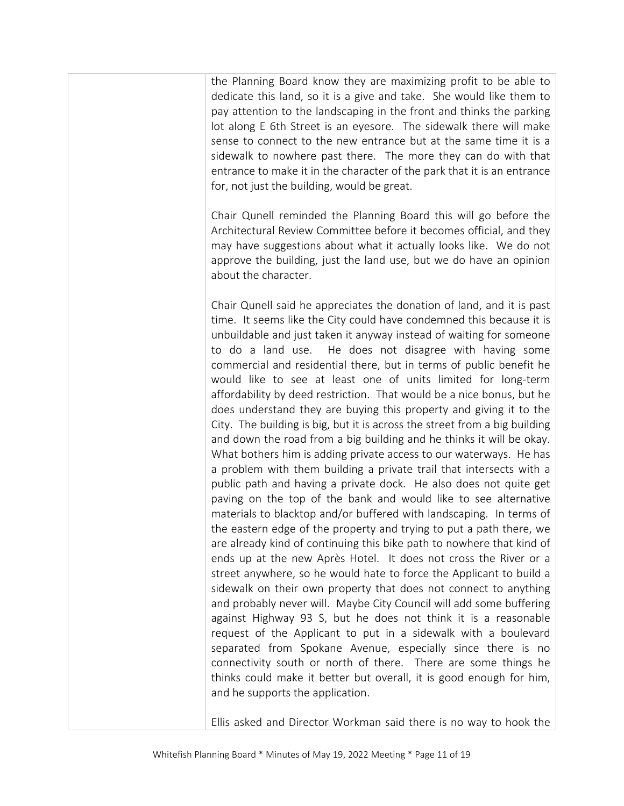the Planning Board know they are maximizing profit to be able to dedicate this land, so it is a give and take. She would like them to pay attention to the landscaping in the front and thinks the parking lot along E 6th Street is an eyesore. The sidewalk there will make sense to connect to the new entrance but at the same time it is a sidewalk to nowhere past there. The more they can do with that entrance to make it in the character of the park that it is an entrance for, not just the building, would be great.

Chair Qunell reminded the Planning Board this will go before the Architectural Review Committee before it becomes official, and they may have suggestions about what it actually looks like. We do not approve the building, just the land use, but we do have an opinion about the character.

Chair Qunell said he appreciates the donation of land, and it is past time. It seems like the City could have condemned this because it is unbuildable and just taken it anyway instead of waiting for someone to do a land use. He does not disagree with having some commercial and residential there, but in terms of public benefit he would like to see at least one of units limited for long-term affordability by deed restriction. That would be a nice bonus, but he does understand they are buying this property and giving it to the City. The building is big, but it is across the street from a big building and down the road from a big building and he thinks it will be okay. What bothers him is adding private access to our waterways. He has a problem with them building a private trail that intersects with a public path and having a private dock. He also does not quite get paving on the top of the bank and would like to see alternative materials to blacktop and/or buffered with landscaping. In terms of the eastern edge of the property and trying to put a path there, we are already kind of continuing this bike path to nowhere that kind of ends up at the new Après Hotel. It does not cross the River or a street anywhere, so he would hate to force the Applicant to build a sidewalk on their own property that does not connect to anything and probably never will. Maybe City Council will add some buffering against Highway 93 S, but he does not think it is a reasonable request of the Applicant to put in a sidewalk with a boulevard separated from Spokane Avenue, especially since there is no connectivity south or north of there. There are some things he thinks could make it better but overall, it is good enough for him, and he supports the application.

Ellis asked and Director Workman said there is no way to hook the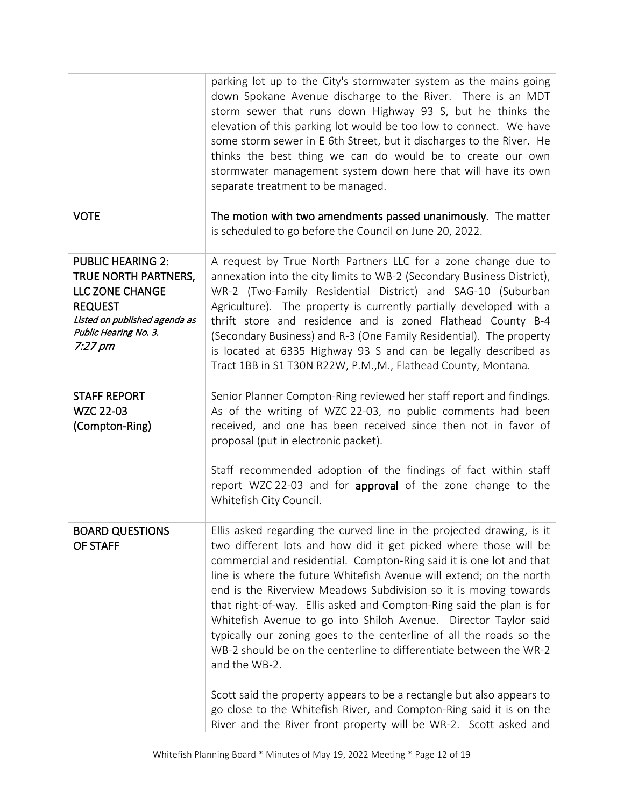|                                                                                                                                                                        | parking lot up to the City's stormwater system as the mains going<br>down Spokane Avenue discharge to the River. There is an MDT<br>storm sewer that runs down Highway 93 S, but he thinks the<br>elevation of this parking lot would be too low to connect. We have<br>some storm sewer in E 6th Street, but it discharges to the River. He<br>thinks the best thing we can do would be to create our own<br>stormwater management system down here that will have its own<br>separate treatment to be managed.                                                                                                                                                                                                                               |
|------------------------------------------------------------------------------------------------------------------------------------------------------------------------|------------------------------------------------------------------------------------------------------------------------------------------------------------------------------------------------------------------------------------------------------------------------------------------------------------------------------------------------------------------------------------------------------------------------------------------------------------------------------------------------------------------------------------------------------------------------------------------------------------------------------------------------------------------------------------------------------------------------------------------------|
| <b>VOTE</b>                                                                                                                                                            | The motion with two amendments passed unanimously. The matter<br>is scheduled to go before the Council on June 20, 2022.                                                                                                                                                                                                                                                                                                                                                                                                                                                                                                                                                                                                                       |
| <b>PUBLIC HEARING 2:</b><br>TRUE NORTH PARTNERS,<br>LLC ZONE CHANGE<br><b>REQUEST</b><br>Listed on published agenda as<br>Public Hearing No. 3.<br>$7:27 \, \text{pm}$ | A request by True North Partners LLC for a zone change due to<br>annexation into the city limits to WB-2 (Secondary Business District),<br>WR-2 (Two-Family Residential District) and SAG-10 (Suburban<br>Agriculture). The property is currently partially developed with a<br>thrift store and residence and is zoned Flathead County B-4<br>(Secondary Business) and R-3 (One Family Residential). The property<br>is located at 6335 Highway 93 S and can be legally described as<br>Tract 1BB in S1 T30N R22W, P.M., M., Flathead County, Montana.                                                                                                                                                                                        |
| <b>STAFF REPORT</b><br><b>WZC 22-03</b><br>(Compton-Ring)                                                                                                              | Senior Planner Compton-Ring reviewed her staff report and findings.<br>As of the writing of WZC 22-03, no public comments had been<br>received, and one has been received since then not in favor of<br>proposal (put in electronic packet).<br>Staff recommended adoption of the findings of fact within staff<br>report WZC 22-03 and for approval of the zone change to the<br>Whitefish City Council.                                                                                                                                                                                                                                                                                                                                      |
| <b>BOARD QUESTIONS</b><br>OF STAFF                                                                                                                                     | Ellis asked regarding the curved line in the projected drawing, is it<br>two different lots and how did it get picked where those will be<br>commercial and residential. Compton-Ring said it is one lot and that<br>line is where the future Whitefish Avenue will extend; on the north<br>end is the Riverview Meadows Subdivision so it is moving towards<br>that right-of-way. Ellis asked and Compton-Ring said the plan is for<br>Whitefish Avenue to go into Shiloh Avenue. Director Taylor said<br>typically our zoning goes to the centerline of all the roads so the<br>WB-2 should be on the centerline to differentiate between the WR-2<br>and the WB-2.<br>Scott said the property appears to be a rectangle but also appears to |
|                                                                                                                                                                        | go close to the Whitefish River, and Compton-Ring said it is on the<br>River and the River front property will be WR-2. Scott asked and                                                                                                                                                                                                                                                                                                                                                                                                                                                                                                                                                                                                        |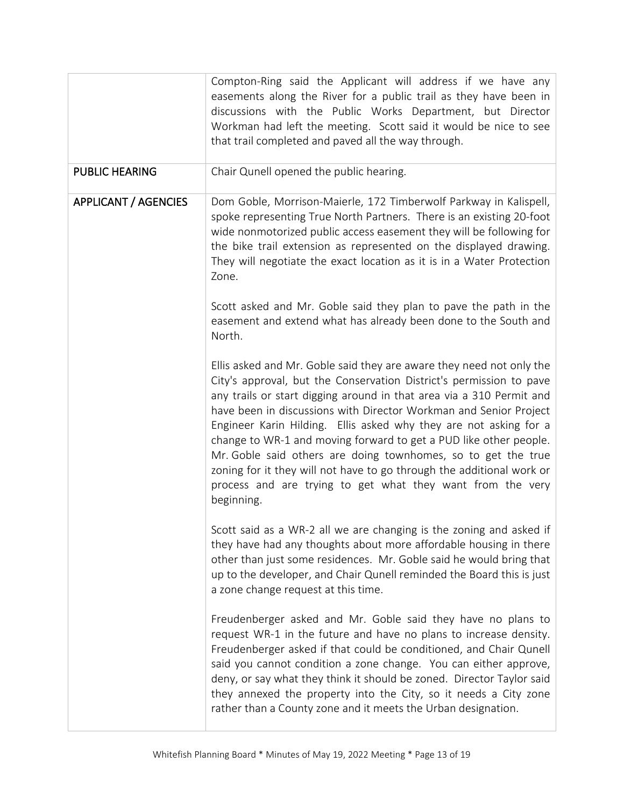|                             | Compton-Ring said the Applicant will address if we have any<br>easements along the River for a public trail as they have been in<br>discussions with the Public Works Department, but Director<br>Workman had left the meeting. Scott said it would be nice to see<br>that trail completed and paved all the way through.                                                                                                                                                                                                                                                                                                                                |
|-----------------------------|----------------------------------------------------------------------------------------------------------------------------------------------------------------------------------------------------------------------------------------------------------------------------------------------------------------------------------------------------------------------------------------------------------------------------------------------------------------------------------------------------------------------------------------------------------------------------------------------------------------------------------------------------------|
| <b>PUBLIC HEARING</b>       | Chair Qunell opened the public hearing.                                                                                                                                                                                                                                                                                                                                                                                                                                                                                                                                                                                                                  |
| <b>APPLICANT / AGENCIES</b> | Dom Goble, Morrison-Maierle, 172 Timberwolf Parkway in Kalispell,<br>spoke representing True North Partners. There is an existing 20-foot<br>wide nonmotorized public access easement they will be following for<br>the bike trail extension as represented on the displayed drawing.<br>They will negotiate the exact location as it is in a Water Protection<br>Zone.                                                                                                                                                                                                                                                                                  |
|                             | Scott asked and Mr. Goble said they plan to pave the path in the<br>easement and extend what has already been done to the South and<br>North.                                                                                                                                                                                                                                                                                                                                                                                                                                                                                                            |
|                             | Ellis asked and Mr. Goble said they are aware they need not only the<br>City's approval, but the Conservation District's permission to pave<br>any trails or start digging around in that area via a 310 Permit and<br>have been in discussions with Director Workman and Senior Project<br>Engineer Karin Hilding. Ellis asked why they are not asking for a<br>change to WR-1 and moving forward to get a PUD like other people.<br>Mr. Goble said others are doing townhomes, so to get the true<br>zoning for it they will not have to go through the additional work or<br>process and are trying to get what they want from the very<br>beginning. |
|                             | Scott said as a WR-2 all we are changing is the zoning and asked if<br>they have had any thoughts about more affordable housing in there<br>other than just some residences. Mr. Goble said he would bring that<br>up to the developer, and Chair Qunell reminded the Board this is just<br>a zone change request at this time.                                                                                                                                                                                                                                                                                                                          |
|                             | Freudenberger asked and Mr. Goble said they have no plans to<br>request WR-1 in the future and have no plans to increase density.<br>Freudenberger asked if that could be conditioned, and Chair Qunell<br>said you cannot condition a zone change. You can either approve,<br>deny, or say what they think it should be zoned. Director Taylor said<br>they annexed the property into the City, so it needs a City zone<br>rather than a County zone and it meets the Urban designation.                                                                                                                                                                |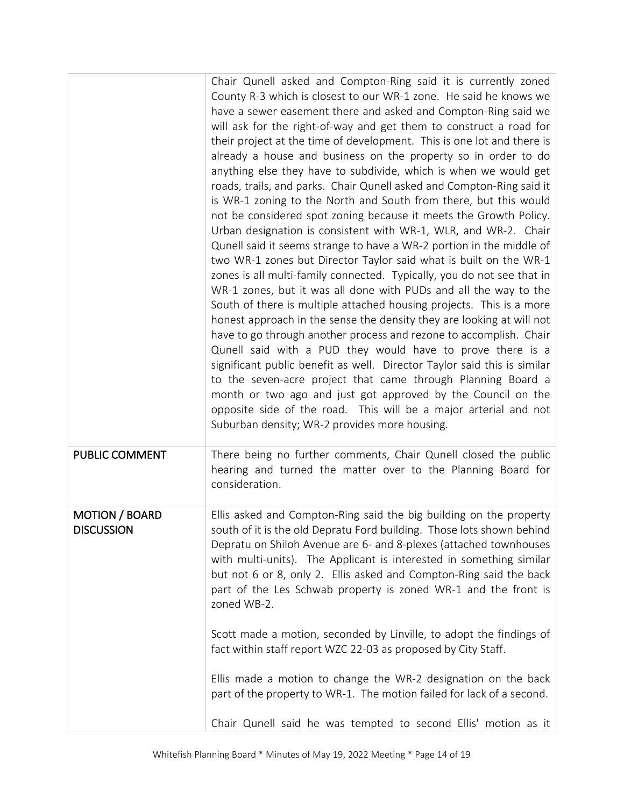|                                            | Chair Qunell asked and Compton-Ring said it is currently zoned<br>County R-3 which is closest to our WR-1 zone. He said he knows we<br>have a sewer easement there and asked and Compton-Ring said we<br>will ask for the right-of-way and get them to construct a road for<br>their project at the time of development. This is one lot and there is<br>already a house and business on the property so in order to do<br>anything else they have to subdivide, which is when we would get<br>roads, trails, and parks. Chair Qunell asked and Compton-Ring said it<br>is WR-1 zoning to the North and South from there, but this would<br>not be considered spot zoning because it meets the Growth Policy.<br>Urban designation is consistent with WR-1, WLR, and WR-2. Chair<br>Qunell said it seems strange to have a WR-2 portion in the middle of<br>two WR-1 zones but Director Taylor said what is built on the WR-1<br>zones is all multi-family connected. Typically, you do not see that in<br>WR-1 zones, but it was all done with PUDs and all the way to the<br>South of there is multiple attached housing projects. This is a more<br>honest approach in the sense the density they are looking at will not<br>have to go through another process and rezone to accomplish. Chair<br>Qunell said with a PUD they would have to prove there is a<br>significant public benefit as well. Director Taylor said this is similar<br>to the seven-acre project that came through Planning Board a<br>month or two ago and just got approved by the Council on the<br>opposite side of the road. This will be a major arterial and not<br>Suburban density; WR-2 provides more housing. |
|--------------------------------------------|---------------------------------------------------------------------------------------------------------------------------------------------------------------------------------------------------------------------------------------------------------------------------------------------------------------------------------------------------------------------------------------------------------------------------------------------------------------------------------------------------------------------------------------------------------------------------------------------------------------------------------------------------------------------------------------------------------------------------------------------------------------------------------------------------------------------------------------------------------------------------------------------------------------------------------------------------------------------------------------------------------------------------------------------------------------------------------------------------------------------------------------------------------------------------------------------------------------------------------------------------------------------------------------------------------------------------------------------------------------------------------------------------------------------------------------------------------------------------------------------------------------------------------------------------------------------------------------------------------------------------------------------------------------------------------------------------|
| <b>PUBLIC COMMENT</b>                      | There being no further comments, Chair Qunell closed the public<br>hearing and turned the matter over to the Planning Board for<br>consideration.                                                                                                                                                                                                                                                                                                                                                                                                                                                                                                                                                                                                                                                                                                                                                                                                                                                                                                                                                                                                                                                                                                                                                                                                                                                                                                                                                                                                                                                                                                                                                 |
| <b>MOTION / BOARD</b><br><b>DISCUSSION</b> | Ellis asked and Compton-Ring said the big building on the property<br>south of it is the old Depratu Ford building. Those lots shown behind<br>Depratu on Shiloh Avenue are 6- and 8-plexes (attached townhouses<br>with multi-units). The Applicant is interested in something similar<br>but not 6 or 8, only 2. Ellis asked and Compton-Ring said the back<br>part of the Les Schwab property is zoned WR-1 and the front is<br>zoned WB-2.                                                                                                                                                                                                                                                                                                                                                                                                                                                                                                                                                                                                                                                                                                                                                                                                                                                                                                                                                                                                                                                                                                                                                                                                                                                    |
|                                            | Scott made a motion, seconded by Linville, to adopt the findings of<br>fact within staff report WZC 22-03 as proposed by City Staff.                                                                                                                                                                                                                                                                                                                                                                                                                                                                                                                                                                                                                                                                                                                                                                                                                                                                                                                                                                                                                                                                                                                                                                                                                                                                                                                                                                                                                                                                                                                                                              |
|                                            | Ellis made a motion to change the WR-2 designation on the back<br>part of the property to WR-1. The motion failed for lack of a second.                                                                                                                                                                                                                                                                                                                                                                                                                                                                                                                                                                                                                                                                                                                                                                                                                                                                                                                                                                                                                                                                                                                                                                                                                                                                                                                                                                                                                                                                                                                                                           |
|                                            | Chair Qunell said he was tempted to second Ellis' motion as it                                                                                                                                                                                                                                                                                                                                                                                                                                                                                                                                                                                                                                                                                                                                                                                                                                                                                                                                                                                                                                                                                                                                                                                                                                                                                                                                                                                                                                                                                                                                                                                                                                    |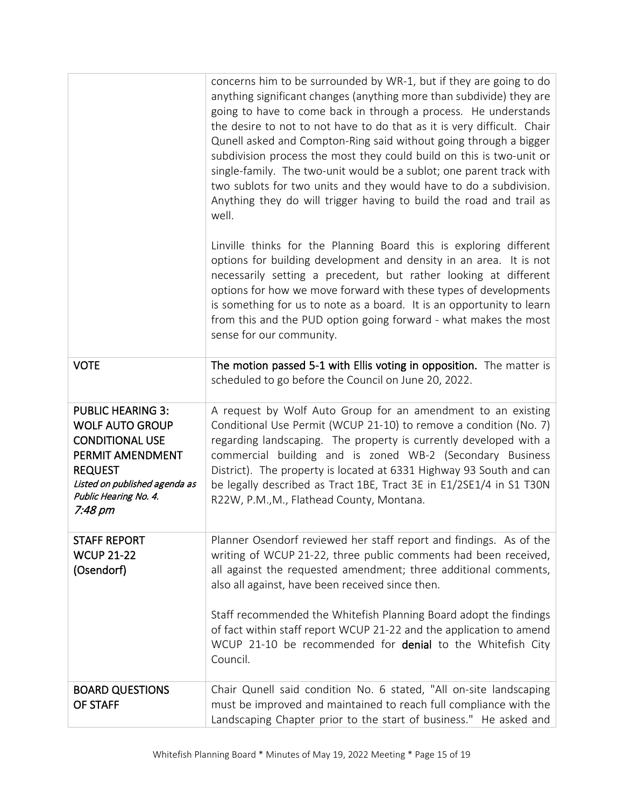|                                                                                                                                                                                         | concerns him to be surrounded by WR-1, but if they are going to do<br>anything significant changes (anything more than subdivide) they are<br>going to have to come back in through a process. He understands<br>the desire to not to not have to do that as it is very difficult. Chair<br>Qunell asked and Compton-Ring said without going through a bigger<br>subdivision process the most they could build on this is two-unit or<br>single-family. The two-unit would be a sublot; one parent track with<br>two sublots for two units and they would have to do a subdivision.<br>Anything they do will trigger having to build the road and trail as<br>well. |
|-----------------------------------------------------------------------------------------------------------------------------------------------------------------------------------------|---------------------------------------------------------------------------------------------------------------------------------------------------------------------------------------------------------------------------------------------------------------------------------------------------------------------------------------------------------------------------------------------------------------------------------------------------------------------------------------------------------------------------------------------------------------------------------------------------------------------------------------------------------------------|
|                                                                                                                                                                                         | Linville thinks for the Planning Board this is exploring different<br>options for building development and density in an area. It is not<br>necessarily setting a precedent, but rather looking at different<br>options for how we move forward with these types of developments<br>is something for us to note as a board. It is an opportunity to learn<br>from this and the PUD option going forward - what makes the most<br>sense for our community.                                                                                                                                                                                                           |
| <b>VOTE</b>                                                                                                                                                                             | The motion passed 5-1 with Ellis voting in opposition. The matter is<br>scheduled to go before the Council on June 20, 2022.                                                                                                                                                                                                                                                                                                                                                                                                                                                                                                                                        |
| <b>PUBLIC HEARING 3:</b><br><b>WOLF AUTO GROUP</b><br><b>CONDITIONAL USE</b><br>PERMIT AMENDMENT<br><b>REQUEST</b><br>Listed on published agenda as<br>Public Hearing No. 4.<br>7:48 pm | A request by Wolf Auto Group for an amendment to an existing<br>Conditional Use Permit (WCUP 21-10) to remove a condition (No. 7)<br>regarding landscaping. The property is currently developed with a<br>commercial building and is zoned WB-2 (Secondary Business<br>District). The property is located at 6331 Highway 93 South and can<br>be legally described as Tract 1BE, Tract 3E in E1/2SE1/4 in S1 T30N<br>R22W, P.M., M., Flathead County, Montana.                                                                                                                                                                                                      |
| <b>STAFF REPORT</b><br><b>WCUP 21-22</b><br>(Osendorf)                                                                                                                                  | Planner Osendorf reviewed her staff report and findings. As of the<br>writing of WCUP 21-22, three public comments had been received,<br>all against the requested amendment; three additional comments,<br>also all against, have been received since then.                                                                                                                                                                                                                                                                                                                                                                                                        |
|                                                                                                                                                                                         | Staff recommended the Whitefish Planning Board adopt the findings<br>of fact within staff report WCUP 21-22 and the application to amend<br>WCUP 21-10 be recommended for <b>denial</b> to the Whitefish City<br>Council.                                                                                                                                                                                                                                                                                                                                                                                                                                           |
| <b>BOARD QUESTIONS</b><br>OF STAFF                                                                                                                                                      | Chair Qunell said condition No. 6 stated, "All on-site landscaping<br>must be improved and maintained to reach full compliance with the<br>Landscaping Chapter prior to the start of business." He asked and                                                                                                                                                                                                                                                                                                                                                                                                                                                        |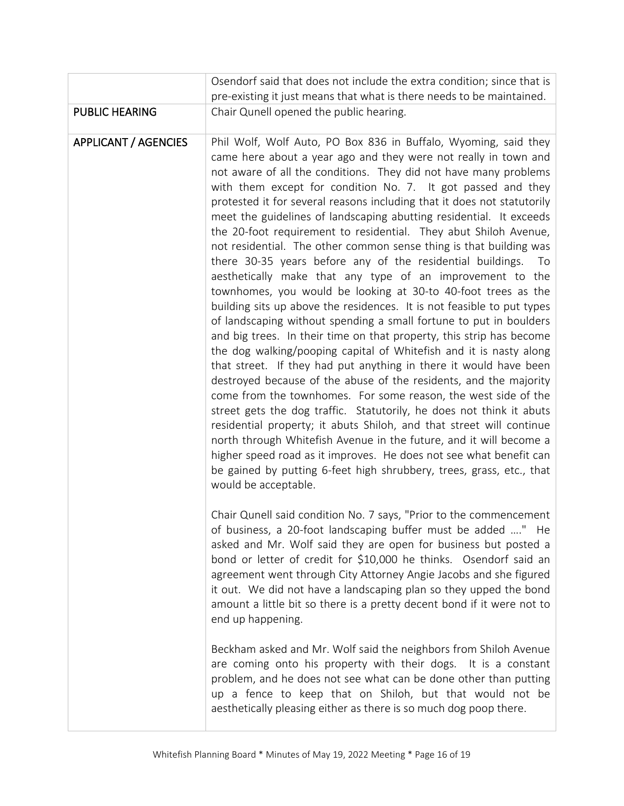|                             | Osendorf said that does not include the extra condition; since that is                                                                                                                                                                                                                                                                                                                                                                                                                                                                                                                                                                                                                                                                                                                                                                                                                                                                                                                                                                                                                                                                                                                                                                                                                                                                                                                                                                                                                                                                                                                                                                                                     |
|-----------------------------|----------------------------------------------------------------------------------------------------------------------------------------------------------------------------------------------------------------------------------------------------------------------------------------------------------------------------------------------------------------------------------------------------------------------------------------------------------------------------------------------------------------------------------------------------------------------------------------------------------------------------------------------------------------------------------------------------------------------------------------------------------------------------------------------------------------------------------------------------------------------------------------------------------------------------------------------------------------------------------------------------------------------------------------------------------------------------------------------------------------------------------------------------------------------------------------------------------------------------------------------------------------------------------------------------------------------------------------------------------------------------------------------------------------------------------------------------------------------------------------------------------------------------------------------------------------------------------------------------------------------------------------------------------------------------|
|                             | pre-existing it just means that what is there needs to be maintained.                                                                                                                                                                                                                                                                                                                                                                                                                                                                                                                                                                                                                                                                                                                                                                                                                                                                                                                                                                                                                                                                                                                                                                                                                                                                                                                                                                                                                                                                                                                                                                                                      |
| <b>PUBLIC HEARING</b>       | Chair Qunell opened the public hearing.                                                                                                                                                                                                                                                                                                                                                                                                                                                                                                                                                                                                                                                                                                                                                                                                                                                                                                                                                                                                                                                                                                                                                                                                                                                                                                                                                                                                                                                                                                                                                                                                                                    |
| <b>APPLICANT / AGENCIES</b> | Phil Wolf, Wolf Auto, PO Box 836 in Buffalo, Wyoming, said they<br>came here about a year ago and they were not really in town and<br>not aware of all the conditions. They did not have many problems<br>with them except for condition No. 7. It got passed and they<br>protested it for several reasons including that it does not statutorily<br>meet the guidelines of landscaping abutting residential. It exceeds<br>the 20-foot requirement to residential. They abut Shiloh Avenue,<br>not residential. The other common sense thing is that building was<br>there 30-35 years before any of the residential buildings.<br>To<br>aesthetically make that any type of an improvement to the<br>townhomes, you would be looking at 30-to 40-foot trees as the<br>building sits up above the residences. It is not feasible to put types<br>of landscaping without spending a small fortune to put in boulders<br>and big trees. In their time on that property, this strip has become<br>the dog walking/pooping capital of Whitefish and it is nasty along<br>that street. If they had put anything in there it would have been<br>destroyed because of the abuse of the residents, and the majority<br>come from the townhomes. For some reason, the west side of the<br>street gets the dog traffic. Statutorily, he does not think it abuts<br>residential property; it abuts Shiloh, and that street will continue<br>north through Whitefish Avenue in the future, and it will become a<br>higher speed road as it improves. He does not see what benefit can<br>be gained by putting 6-feet high shrubbery, trees, grass, etc., that<br>would be acceptable. |
|                             | Chair Qunell said condition No. 7 says, "Prior to the commencement<br>of business, a 20-foot landscaping buffer must be added " He<br>asked and Mr. Wolf said they are open for business but posted a<br>bond or letter of credit for \$10,000 he thinks. Osendorf said an<br>agreement went through City Attorney Angie Jacobs and she figured<br>it out. We did not have a landscaping plan so they upped the bond<br>amount a little bit so there is a pretty decent bond if it were not to<br>end up happening.<br>Beckham asked and Mr. Wolf said the neighbors from Shiloh Avenue<br>are coming onto his property with their dogs. It is a constant<br>problem, and he does not see what can be done other than putting                                                                                                                                                                                                                                                                                                                                                                                                                                                                                                                                                                                                                                                                                                                                                                                                                                                                                                                                              |
|                             | up a fence to keep that on Shiloh, but that would not be<br>aesthetically pleasing either as there is so much dog poop there.                                                                                                                                                                                                                                                                                                                                                                                                                                                                                                                                                                                                                                                                                                                                                                                                                                                                                                                                                                                                                                                                                                                                                                                                                                                                                                                                                                                                                                                                                                                                              |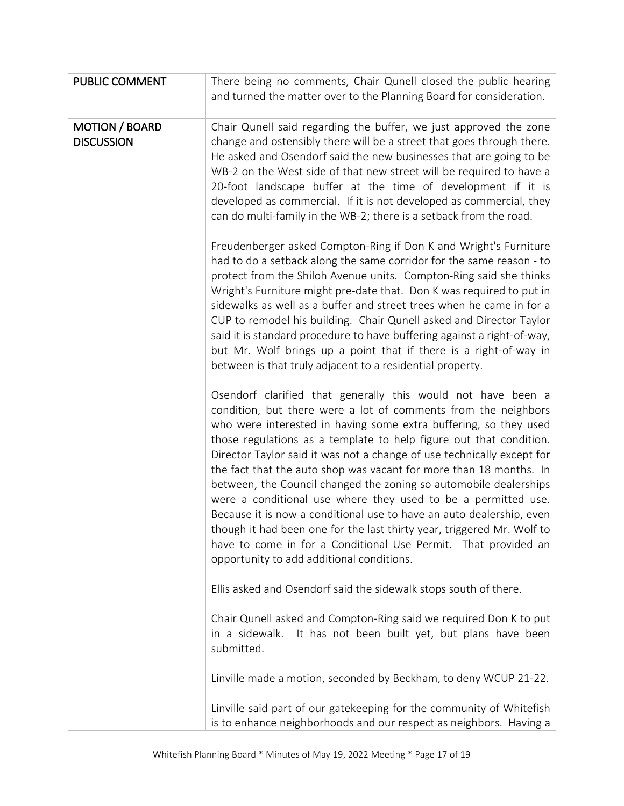| PUBLIC COMMENT                             | There being no comments, Chair Qunell closed the public hearing<br>and turned the matter over to the Planning Board for consideration.                                                                                                                                                                                                                                                                                                                                                                                                                                                                                                                                                                                                                                                                                          |
|--------------------------------------------|---------------------------------------------------------------------------------------------------------------------------------------------------------------------------------------------------------------------------------------------------------------------------------------------------------------------------------------------------------------------------------------------------------------------------------------------------------------------------------------------------------------------------------------------------------------------------------------------------------------------------------------------------------------------------------------------------------------------------------------------------------------------------------------------------------------------------------|
| <b>MOTION / BOARD</b><br><b>DISCUSSION</b> | Chair Qunell said regarding the buffer, we just approved the zone<br>change and ostensibly there will be a street that goes through there.<br>He asked and Osendorf said the new businesses that are going to be<br>WB-2 on the West side of that new street will be required to have a<br>20-foot landscape buffer at the time of development if it is<br>developed as commercial. If it is not developed as commercial, they<br>can do multi-family in the WB-2; there is a setback from the road.                                                                                                                                                                                                                                                                                                                            |
|                                            | Freudenberger asked Compton-Ring if Don K and Wright's Furniture<br>had to do a setback along the same corridor for the same reason - to<br>protect from the Shiloh Avenue units. Compton-Ring said she thinks<br>Wright's Furniture might pre-date that. Don K was required to put in<br>sidewalks as well as a buffer and street trees when he came in for a<br>CUP to remodel his building. Chair Qunell asked and Director Taylor<br>said it is standard procedure to have buffering against a right-of-way,<br>but Mr. Wolf brings up a point that if there is a right-of-way in<br>between is that truly adjacent to a residential property.                                                                                                                                                                              |
|                                            | Osendorf clarified that generally this would not have been a<br>condition, but there were a lot of comments from the neighbors<br>who were interested in having some extra buffering, so they used<br>those regulations as a template to help figure out that condition.<br>Director Taylor said it was not a change of use technically except for<br>the fact that the auto shop was vacant for more than 18 months. In<br>between, the Council changed the zoning so automobile dealerships<br>were a conditional use where they used to be a permitted use.<br>Because it is now a conditional use to have an auto dealership, even<br>though it had been one for the last thirty year, triggered Mr. Wolf to<br>have to come in for a Conditional Use Permit. That provided an<br>opportunity to add additional conditions. |
|                                            | Ellis asked and Osendorf said the sidewalk stops south of there.                                                                                                                                                                                                                                                                                                                                                                                                                                                                                                                                                                                                                                                                                                                                                                |
|                                            | Chair Qunell asked and Compton-Ring said we required Don K to put<br>It has not been built yet, but plans have been<br>in a sidewalk.<br>submitted.                                                                                                                                                                                                                                                                                                                                                                                                                                                                                                                                                                                                                                                                             |
|                                            | Linville made a motion, seconded by Beckham, to deny WCUP 21-22.                                                                                                                                                                                                                                                                                                                                                                                                                                                                                                                                                                                                                                                                                                                                                                |
|                                            | Linville said part of our gatekeeping for the community of Whitefish<br>is to enhance neighborhoods and our respect as neighbors. Having a                                                                                                                                                                                                                                                                                                                                                                                                                                                                                                                                                                                                                                                                                      |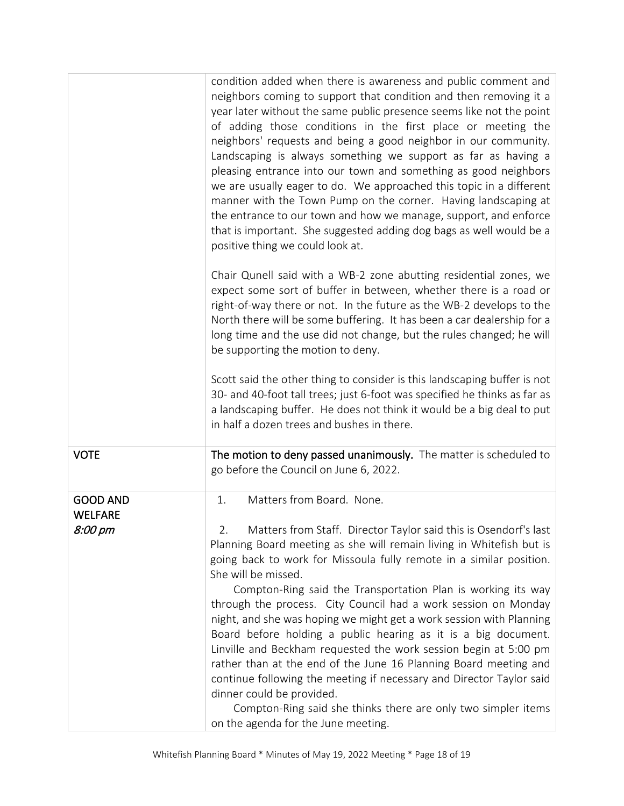|                            | condition added when there is awareness and public comment and<br>neighbors coming to support that condition and then removing it a<br>year later without the same public presence seems like not the point<br>of adding those conditions in the first place or meeting the<br>neighbors' requests and being a good neighbor in our community.<br>Landscaping is always something we support as far as having a<br>pleasing entrance into our town and something as good neighbors<br>we are usually eager to do. We approached this topic in a different<br>manner with the Town Pump on the corner. Having landscaping at<br>the entrance to our town and how we manage, support, and enforce<br>that is important. She suggested adding dog bags as well would be a<br>positive thing we could look at. |
|----------------------------|------------------------------------------------------------------------------------------------------------------------------------------------------------------------------------------------------------------------------------------------------------------------------------------------------------------------------------------------------------------------------------------------------------------------------------------------------------------------------------------------------------------------------------------------------------------------------------------------------------------------------------------------------------------------------------------------------------------------------------------------------------------------------------------------------------|
|                            | Chair Qunell said with a WB-2 zone abutting residential zones, we<br>expect some sort of buffer in between, whether there is a road or<br>right-of-way there or not. In the future as the WB-2 develops to the<br>North there will be some buffering. It has been a car dealership for a<br>long time and the use did not change, but the rules changed; he will<br>be supporting the motion to deny.                                                                                                                                                                                                                                                                                                                                                                                                      |
|                            | Scott said the other thing to consider is this landscaping buffer is not<br>30- and 40-foot tall trees; just 6-foot was specified he thinks as far as<br>a landscaping buffer. He does not think it would be a big deal to put<br>in half a dozen trees and bushes in there.                                                                                                                                                                                                                                                                                                                                                                                                                                                                                                                               |
| <b>VOTE</b>                | The motion to deny passed unanimously. The matter is scheduled to<br>go before the Council on June 6, 2022.                                                                                                                                                                                                                                                                                                                                                                                                                                                                                                                                                                                                                                                                                                |
| <b>GOOD AND</b><br>WELFARE | Matters from Board. None.<br>1.                                                                                                                                                                                                                                                                                                                                                                                                                                                                                                                                                                                                                                                                                                                                                                            |
| 8:00 pm                    | Matters from Staff. Director Taylor said this is Osendorf's last<br>Planning Board meeting as she will remain living in Whitefish but is<br>going back to work for Missoula fully remote in a similar position.<br>She will be missed.                                                                                                                                                                                                                                                                                                                                                                                                                                                                                                                                                                     |
|                            | Compton-Ring said the Transportation Plan is working its way<br>through the process. City Council had a work session on Monday<br>night, and she was hoping we might get a work session with Planning<br>Board before holding a public hearing as it is a big document.<br>Linville and Beckham requested the work session begin at 5:00 pm<br>rather than at the end of the June 16 Planning Board meeting and<br>continue following the meeting if necessary and Director Taylor said<br>dinner could be provided.<br>Compton-Ring said she thinks there are only two simpler items<br>on the agenda for the June meeting.                                                                                                                                                                               |